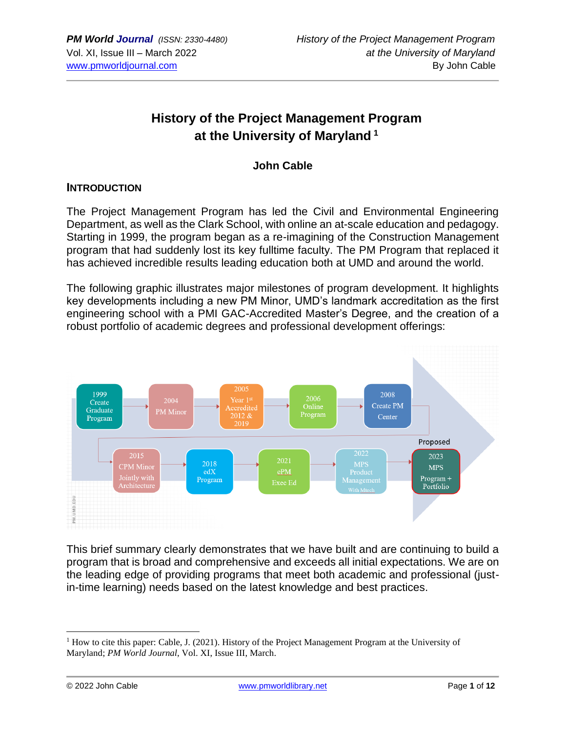# **History of the Project Management Program at the University of Maryland <sup>1</sup>**

**John Cable**

#### **INTRODUCTION**

The Project Management Program has led the Civil and Environmental Engineering Department, as well as the Clark School, with online an at-scale education and pedagogy. Starting in 1999, the program began as a re-imagining of the Construction Management program that had suddenly lost its key fulltime faculty. The PM Program that replaced it has achieved incredible results leading education both at UMD and around the world.

The following graphic illustrates major milestones of program development. It highlights key developments including a new PM Minor, UMD's landmark accreditation as the first engineering school with a PMI GAC-Accredited Master's Degree, and the creation of a robust portfolio of academic degrees and professional development offerings:



This brief summary clearly demonstrates that we have built and are continuing to build a program that is broad and comprehensive and exceeds all initial expectations. We are on the leading edge of providing programs that meet both academic and professional (justin-time learning) needs based on the latest knowledge and best practices.

<sup>&</sup>lt;sup>1</sup> How to cite this paper: Cable, J. (2021). History of the Project Management Program at the University of Maryland; *PM World Journal*, Vol. XI, Issue III, March.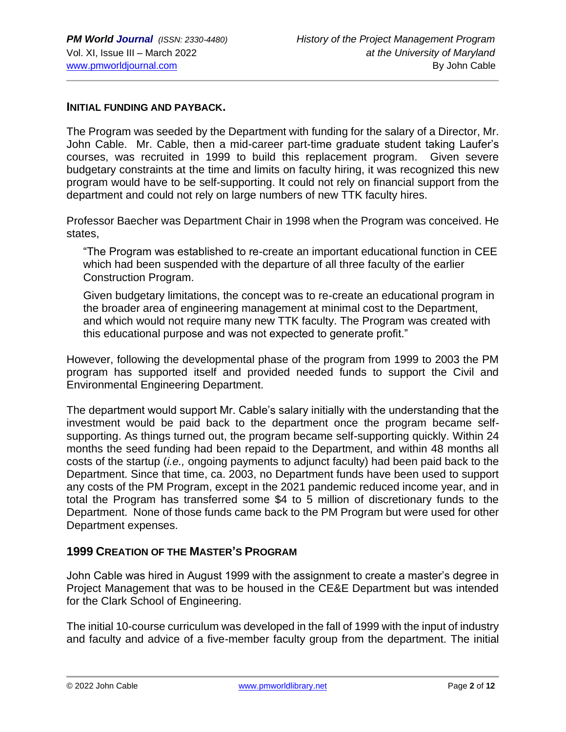#### **INITIAL FUNDING AND PAYBACK.**

The Program was seeded by the Department with funding for the salary of a Director, Mr. John Cable. Mr. Cable, then a mid-career part-time graduate student taking Laufer's courses, was recruited in 1999 to build this replacement program. Given severe budgetary constraints at the time and limits on faculty hiring, it was recognized this new program would have to be self-supporting. It could not rely on financial support from the department and could not rely on large numbers of new TTK faculty hires.

Professor Baecher was Department Chair in 1998 when the Program was conceived. He states,

"The Program was established to re-create an important educational function in CEE which had been suspended with the departure of all three faculty of the earlier Construction Program.

Given budgetary limitations, the concept was to re-create an educational program in the broader area of engineering management at minimal cost to the Department, and which would not require many new TTK faculty. The Program was created with this educational purpose and was not expected to generate profit."

However, following the developmental phase of the program from 1999 to 2003 the PM program has supported itself and provided needed funds to support the Civil and Environmental Engineering Department.

The department would support Mr. Cable's salary initially with the understanding that the investment would be paid back to the department once the program became selfsupporting. As things turned out, the program became self-supporting quickly. Within 24 months the seed funding had been repaid to the Department, and within 48 months all costs of the startup (*i.e.,* ongoing payments to adjunct faculty) had been paid back to the Department. Since that time, ca. 2003, no Department funds have been used to support any costs of the PM Program, except in the 2021 pandemic reduced income year, and in total the Program has transferred some \$4 to 5 million of discretionary funds to the Department. None of those funds came back to the PM Program but were used for other Department expenses.

#### **1999 CREATION OF THE MASTER'S PROGRAM**

John Cable was hired in August 1999 with the assignment to create a master's degree in Project Management that was to be housed in the CE&E Department but was intended for the Clark School of Engineering.

The initial 10-course curriculum was developed in the fall of 1999 with the input of industry and faculty and advice of a five-member faculty group from the department. The initial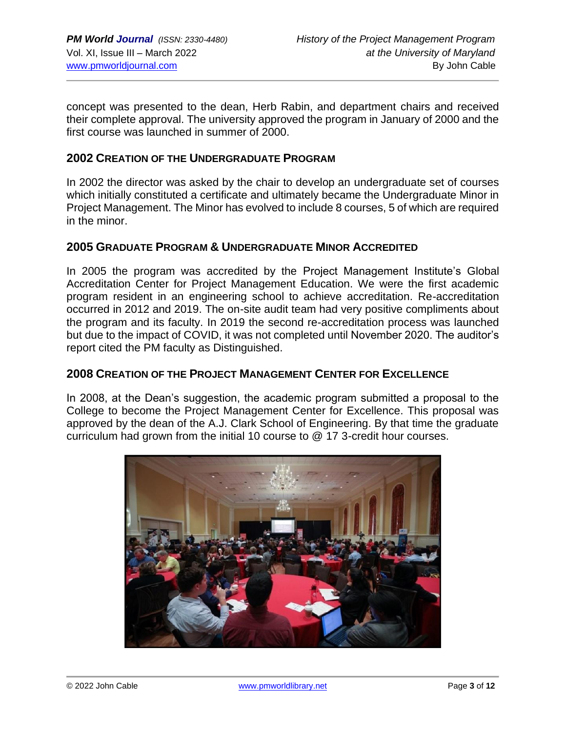concept was presented to the dean, Herb Rabin, and department chairs and received their complete approval. The university approved the program in January of 2000 and the first course was launched in summer of 2000.

#### **2002 CREATION OF THE UNDERGRADUATE PROGRAM**

In 2002 the director was asked by the chair to develop an undergraduate set of courses which initially constituted a certificate and ultimately became the Undergraduate Minor in Project Management. The Minor has evolved to include 8 courses, 5 of which are required in the minor.

#### **2005 GRADUATE PROGRAM & UNDERGRADUATE MINOR ACCREDITED**

In 2005 the program was accredited by the Project Management Institute's Global Accreditation Center for Project Management Education. We were the first academic program resident in an engineering school to achieve accreditation. Re-accreditation occurred in 2012 and 2019. The on-site audit team had very positive compliments about the program and its faculty. In 2019 the second re-accreditation process was launched but due to the impact of COVID, it was not completed until November 2020. The auditor's report cited the PM faculty as Distinguished.

#### **2008 CREATION OF THE PROJECT MANAGEMENT CENTER FOR EXCELLENCE**

In 2008, at the Dean's suggestion, the academic program submitted a proposal to the College to become the Project Management Center for Excellence. This proposal was approved by the dean of the A.J. Clark School of Engineering. By that time the graduate curriculum had grown from the initial 10 course to @ 17 3-credit hour courses.

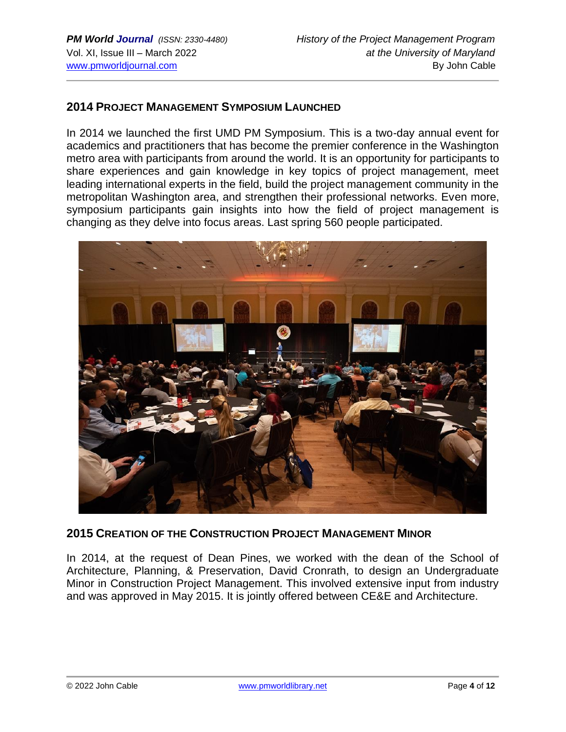#### **2014 PROJECT MANAGEMENT SYMPOSIUM LAUNCHED**

In 2014 we launched the first UMD PM Symposium. This is a two-day annual event for academics and practitioners that has become the premier conference in the Washington metro area with participants from around the world. It is an opportunity for participants to share experiences and gain knowledge in key topics of project management, meet leading international experts in the field, build the project management community in the metropolitan Washington area, and strengthen their professional networks. Even more, symposium participants gain insights into how the field of project management is changing as they delve into focus areas. Last spring 560 people participated.



#### **2015 CREATION OF THE CONSTRUCTION PROJECT MANAGEMENT MINOR**

In 2014, at the request of Dean Pines, we worked with the dean of the School of Architecture, Planning, & Preservation, David Cronrath, to design an Undergraduate Minor in Construction Project Management. This involved extensive input from industry and was approved in May 2015. It is jointly offered between CE&E and Architecture.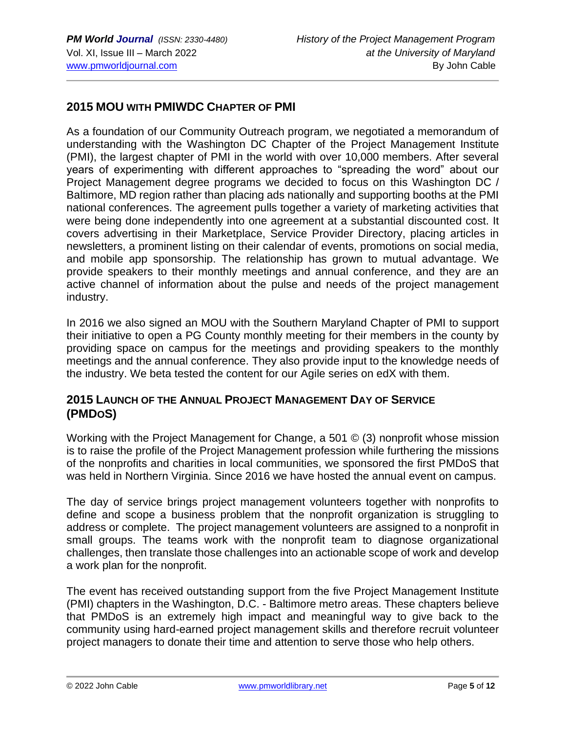## **2015 MOU WITH PMIWDC CHAPTER OF PMI**

As a foundation of our Community Outreach program, we negotiated a memorandum of understanding with the Washington DC Chapter of the Project Management Institute (PMI), the largest chapter of PMI in the world with over 10,000 members. After several years of experimenting with different approaches to "spreading the word" about our Project Management degree programs we decided to focus on this Washington DC / Baltimore, MD region rather than placing ads nationally and supporting booths at the PMI national conferences. The agreement pulls together a variety of marketing activities that were being done independently into one agreement at a substantial discounted cost. It covers advertising in their Marketplace, Service Provider Directory, placing articles in newsletters, a prominent listing on their calendar of events, promotions on social media, and mobile app sponsorship. The relationship has grown to mutual advantage. We provide speakers to their monthly meetings and annual conference, and they are an active channel of information about the pulse and needs of the project management industry.

In 2016 we also signed an MOU with the Southern Maryland Chapter of PMI to support their initiative to open a PG County monthly meeting for their members in the county by providing space on campus for the meetings and providing speakers to the monthly meetings and the annual conference. They also provide input to the knowledge needs of the industry. We beta tested the content for our Agile series on edX with them.

#### **2015 LAUNCH OF THE ANNUAL PROJECT MANAGEMENT DAY OF SERVICE (PMDOS)**

Working with the Project Management for Change, a 501 © (3) nonprofit whose mission is to raise the profile of the Project Management profession while furthering the missions of the nonprofits and charities in local communities, we sponsored the first PMDoS that was held in Northern Virginia. Since 2016 we have hosted the annual event on campus.

The day of service brings project management volunteers together with nonprofits to define and scope a business problem that the nonprofit organization is struggling to address or complete. The project management volunteers are assigned to a nonprofit in small groups. The teams work with the nonprofit team to diagnose organizational challenges, then translate those challenges into an actionable scope of work and develop a work plan for the nonprofit.

The event has received outstanding support from the five Project Management Institute (PMI) chapters in the Washington, D.C. - Baltimore metro areas. These chapters believe that PMDoS is an extremely high impact and meaningful way to give back to the community using hard-earned project management skills and therefore recruit volunteer project managers to donate their time and attention to serve those who help others.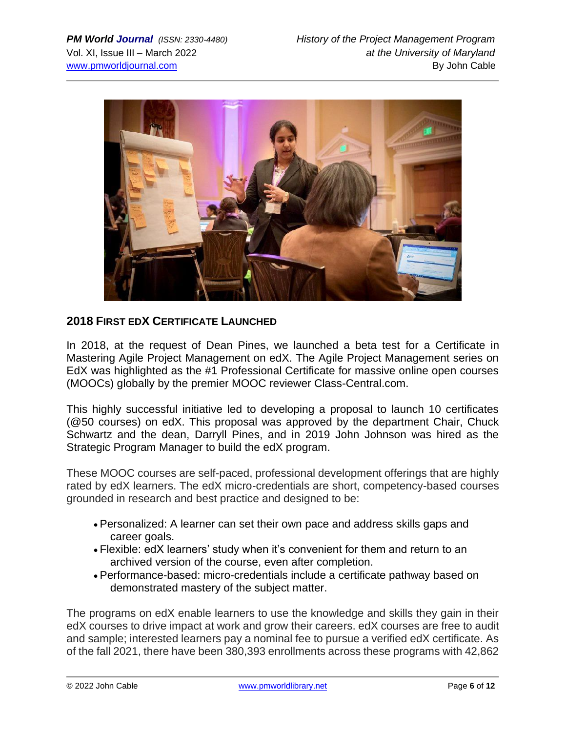

## **2018 FIRST EDX CERTIFICATE LAUNCHED**

In 2018, at the request of Dean Pines, we launched a beta test for a Certificate in Mastering Agile Project Management on edX. The Agile Project Management series on EdX was highlighted as the #1 Professional Certificate for massive online open courses (MOOCs) globally by the premier MOOC reviewer Class-Central.com.

This highly successful initiative led to developing a proposal to launch 10 certificates (@50 courses) on edX. This proposal was approved by the department Chair, Chuck Schwartz and the dean, Darryll Pines, and in 2019 John Johnson was hired as the Strategic Program Manager to build the edX program.

These MOOC courses are self-paced, professional development offerings that are highly rated by edX learners. The edX micro-credentials are short, competency-based courses grounded in research and best practice and designed to be:

- Personalized: A learner can set their own pace and address skills gaps and career goals.
- Flexible: edX learners' study when it's convenient for them and return to an archived version of the course, even after completion.
- Performance-based: micro-credentials include a certificate pathway based on demonstrated mastery of the subject matter.

The programs on edX enable learners to use the knowledge and skills they gain in their edX courses to drive impact at work and grow their careers. edX courses are free to audit and sample; interested learners pay a nominal fee to pursue a verified edX certificate. As of the fall 2021, there have been 380,393 enrollments across these programs with 42,862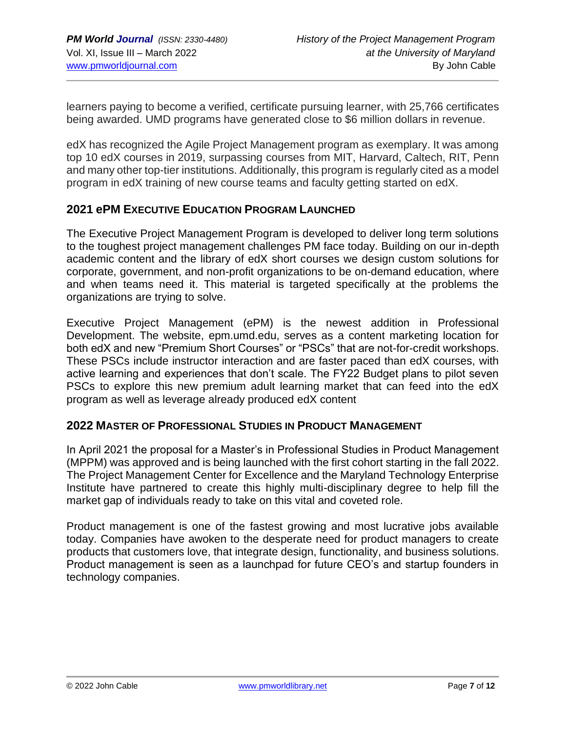learners paying to become a verified, certificate pursuing learner, with 25,766 certificates being awarded. UMD programs have generated close to \$6 million dollars in revenue.

edX has recognized the Agile Project Management program as exemplary. It was among top 10 edX courses in 2019, surpassing courses from MIT, Harvard, Caltech, RIT, Penn and many other top-tier institutions. Additionally, this program is regularly cited as a model program in edX training of new course teams and faculty getting started on edX.

#### **2021 ePM EXECUTIVE EDUCATION PROGRAM LAUNCHED**

The Executive Project Management Program is developed to deliver long term solutions to the toughest project management challenges PM face today. Building on our in-depth academic content and the library of edX short courses we design custom solutions for corporate, government, and non-profit organizations to be on-demand education, where and when teams need it. This material is targeted specifically at the problems the organizations are trying to solve.

Executive Project Management (ePM) is the newest addition in Professional Development. The website, epm.umd.edu, serves as a content marketing location for both edX and new "Premium Short Courses" or "PSCs" that are not-for-credit workshops. These PSCs include instructor interaction and are faster paced than edX courses, with active learning and experiences that don't scale. The FY22 Budget plans to pilot seven PSCs to explore this new premium adult learning market that can feed into the edX program as well as leverage already produced edX content

#### **2022 MASTER OF PROFESSIONAL STUDIES IN PRODUCT MANAGEMENT**

In April 2021 the proposal for a Master's in Professional Studies in Product Management (MPPM) was approved and is being launched with the first cohort starting in the fall 2022. The Project Management Center for Excellence and the Maryland Technology Enterprise Institute have partnered to create this highly multi-disciplinary degree to help fill the market gap of individuals ready to take on this vital and coveted role.

Product management is one of the fastest growing and most lucrative jobs available today. Companies have awoken to the desperate need for product managers to create products that customers love, that integrate design, functionality, and business solutions. Product management is seen as a launchpad for future CEO's and startup founders in technology companies.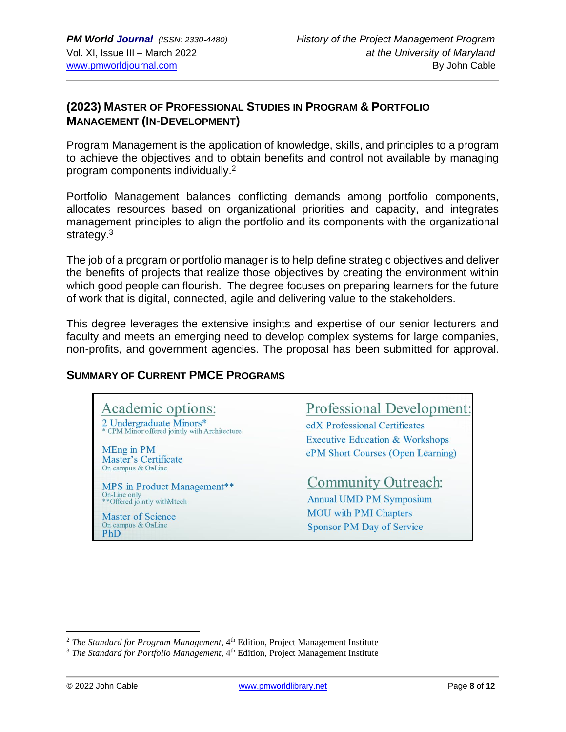## **(2023) MASTER OF PROFESSIONAL STUDIES IN PROGRAM & PORTFOLIO MANAGEMENT (IN-DEVELOPMENT)**

Program Management is the application of knowledge, skills, and principles to a program to achieve the objectives and to obtain benefits and control not available by managing program components individually.<sup>2</sup>

Portfolio Management balances conflicting demands among portfolio components, allocates resources based on organizational priorities and capacity, and integrates management principles to align the portfolio and its components with the organizational strategy.<sup>3</sup>

The job of a program or portfolio manager is to help define strategic objectives and deliver the benefits of projects that realize those objectives by creating the environment within which good people can flourish. The degree focuses on preparing learners for the future of work that is digital, connected, agile and delivering value to the stakeholders.

This degree leverages the extensive insights and expertise of our senior lecturers and faculty and meets an emerging need to develop complex systems for large companies, non-profits, and government agencies. The proposal has been submitted for approval.

#### **SUMMARY OF CURRENT PMCE PROGRAMS**

Academic options: 2 Undergraduate Minors\* CPM Minor offered jointly with Architecture

MEng in PM **Master's Certificate** On campus & OnLine

MPS in Product Management\*\* On-Line only<br>\*\*Offered jointly withMtech

**Master of Science** On campus & OnLine PhD

**Professional Development:** 

edX Professional Certificates **Executive Education & Workshops** ePM Short Courses (Open Learning)

# **Community Outreach:**

**Annual UMD PM Symposium MOU** with PMI Chapters **Sponsor PM Day of Service** 

<sup>&</sup>lt;sup>2</sup> The Standard for Program Management, 4<sup>th</sup> Edition, Project Management Institute

<sup>&</sup>lt;sup>3</sup> *The Standard for Portfolio Management*, 4<sup>th</sup> Edition, Project Management Institute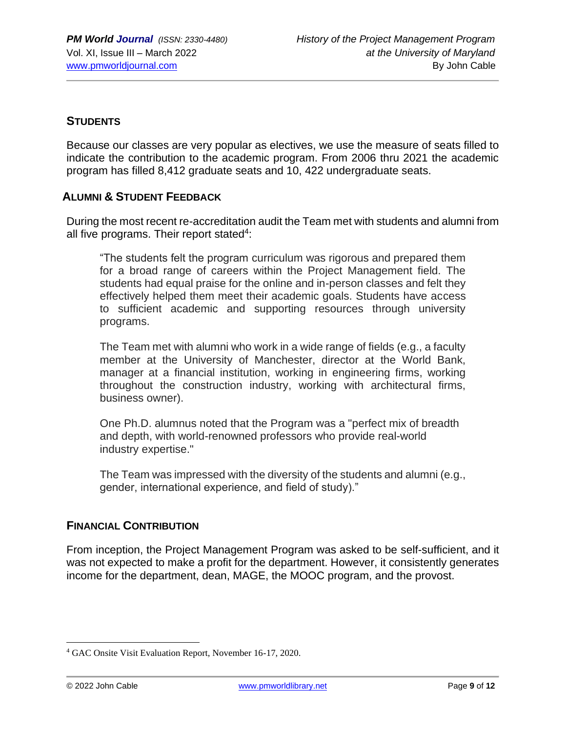### **STUDENTS**

Because our classes are very popular as electives, we use the measure of seats filled to indicate the contribution to the academic program. From 2006 thru 2021 the academic program has filled 8,412 graduate seats and 10, 422 undergraduate seats.

#### **ALUMNI & STUDENT FEEDBACK**

During the most recent re-accreditation audit the Team met with students and alumni from all five programs. Their report stated<sup>4</sup>:

"The students felt the program curriculum was rigorous and prepared them for a broad range of careers within the Project Management field. The students had equal praise for the online and in-person classes and felt they effectively helped them meet their academic goals. Students have access to sufficient academic and supporting resources through university programs.

The Team met with alumni who work in a wide range of fields (e.g., a faculty member at the University of Manchester, director at the World Bank, manager at a financial institution, working in engineering firms, working throughout the construction industry, working with architectural firms, business owner).

One Ph.D. alumnus noted that the Program was a "perfect mix of breadth and depth, with world-renowned professors who provide real-world industry expertise."

The Team was impressed with the diversity of the students and alumni (e.g., gender, international experience, and field of study)."

#### **FINANCIAL CONTRIBUTION**

From inception, the Project Management Program was asked to be self-sufficient, and it was not expected to make a profit for the department. However, it consistently generates income for the department, dean, MAGE, the MOOC program, and the provost.

<sup>4</sup> GAC Onsite Visit Evaluation Report, November 16-17, 2020.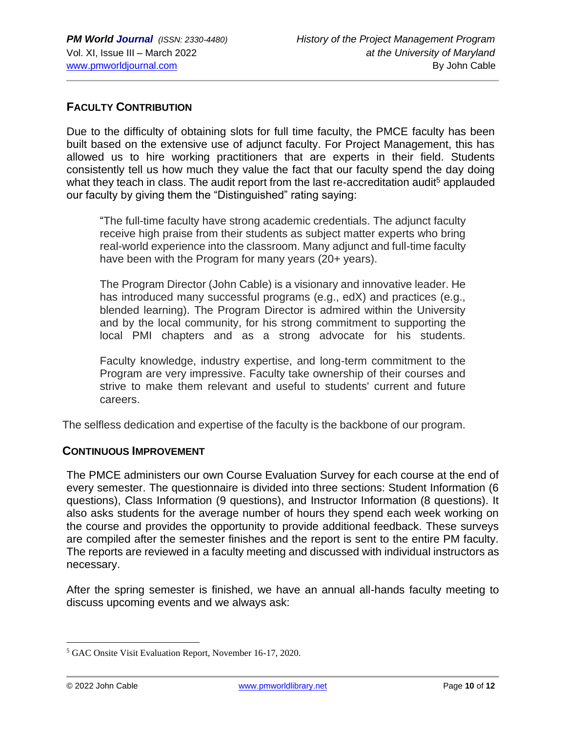#### **FACULTY CONTRIBUTION**

Due to the difficulty of obtaining slots for full time faculty, the PMCE faculty has been built based on the extensive use of adjunct faculty. For Project Management, this has allowed us to hire working practitioners that are experts in their field. Students consistently tell us how much they value the fact that our faculty spend the day doing what they teach in class. The audit report from the last re-accreditation audit<sup>5</sup> applauded our faculty by giving them the "Distinguished" rating saying:

"The full-time faculty have strong academic credentials. The adjunct faculty receive high praise from their students as subject matter experts who bring real-world experience into the classroom. Many adjunct and full-time faculty have been with the Program for many years (20+ years).

The Program Director (John Cable) is a visionary and innovative leader. He has introduced many successful programs (e.g., edX) and practices (e.g., blended learning). The Program Director is admired within the University and by the local community, for his strong commitment to supporting the local PMI chapters and as a strong advocate for his students.

Faculty knowledge, industry expertise, and long-term commitment to the Program are very impressive. Faculty take ownership of their courses and strive to make them relevant and useful to students' current and future careers.

The selfless dedication and expertise of the faculty is the backbone of our program.

#### **CONTINUOUS IMPROVEMENT**

The PMCE administers our own Course Evaluation Survey for each course at the end of every semester. The questionnaire is divided into three sections: Student Information (6 questions), Class Information (9 questions), and Instructor Information (8 questions). It also asks students for the average number of hours they spend each week working on the course and provides the opportunity to provide additional feedback. These surveys are compiled after the semester finishes and the report is sent to the entire PM faculty. The reports are reviewed in a faculty meeting and discussed with individual instructors as necessary.

After the spring semester is finished, we have an annual all-hands faculty meeting to discuss upcoming events and we always ask:

<sup>5</sup> GAC Onsite Visit Evaluation Report, November 16-17, 2020.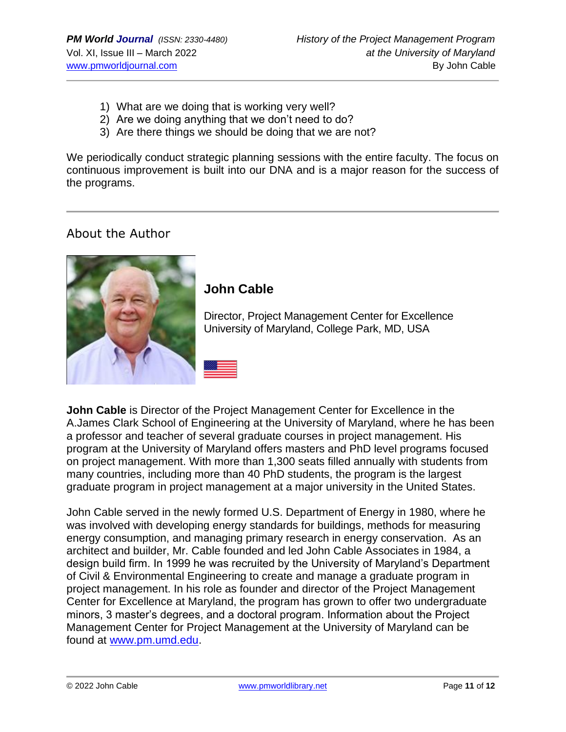- 1) What are we doing that is working very well?
- 2) Are we doing anything that we don't need to do?
- 3) Are there things we should be doing that we are not?

We periodically conduct strategic planning sessions with the entire faculty. The focus on continuous improvement is built into our DNA and is a major reason for the success of the programs.

# About the Author



# **John Cable**

Director, Project Management Center for Excellence University of Maryland, College Park, MD, USA

**John Cable** is Director of the Project Management Center for Excellence in the A.James Clark School of Engineering at the University of Maryland, where he has been a professor and teacher of several graduate courses in project management. His program at the University of Maryland offers masters and PhD level programs focused on project management. With more than 1,300 seats filled annually with students from many countries, including more than 40 PhD students, the program is the largest graduate program in project management at a major university in the United States.

John Cable served in the newly formed U.S. Department of Energy in 1980, where he was involved with developing energy standards for buildings, methods for measuring energy consumption, and managing primary research in energy conservation. As an architect and builder, Mr. Cable founded and led John Cable Associates in 1984, a design build firm. In 1999 he was recruited by the University of Maryland's Department of Civil & Environmental Engineering to create and manage a graduate program in project management. In his role as founder and director of the Project Management Center for Excellence at Maryland, the program has grown to offer two undergraduate minors, 3 master's degrees, and a doctoral program. Information about the Project Management Center for Project Management at the University of Maryland can be found at [www.pm.umd.edu.](http://www.pm.umd.edu/)